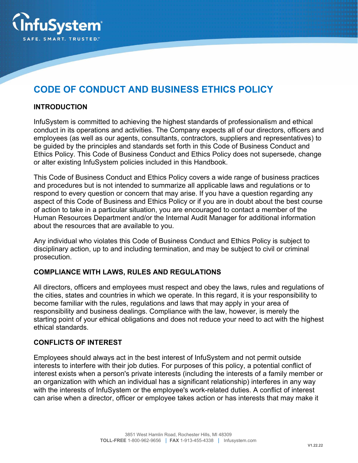

# **CODE OF CONDUCT AND BUSINESS ETHICS POLICY**

#### **INTRODUCTION**

InfuSystem is committed to achieving the highest standards of professionalism and ethical conduct in its operations and activities. The Company expects all of our directors, officers and employees (as well as our agents, consultants, contractors, suppliers and representatives) to be guided by the principles and standards set forth in this Code of Business Conduct and Ethics Policy. This Code of Business Conduct and Ethics Policy does not supersede, change or alter existing InfuSystem policies included in this Handbook.

This Code of Business Conduct and Ethics Policy covers a wide range of business practices and procedures but is not intended to summarize all applicable laws and regulations or to respond to every question or concern that may arise. If you have a question regarding any aspect of this Code of Business and Ethics Policy or if you are in doubt about the best course of action to take in a particular situation, you are encouraged to contact a member of the Human Resources Department and/or the Internal Audit Manager for additional information about the resources that are available to you.

Any individual who violates this Code of Business Conduct and Ethics Policy is subject to disciplinary action, up to and including termination, and may be subject to civil or criminal prosecution.

#### **COMPLIANCE WITH LAWS, RULES AND REGULATIONS**

All directors, officers and employees must respect and obey the laws, rules and regulations of the cities, states and countries in which we operate. In this regard, it is your responsibility to become familiar with the rules, regulations and laws that may apply in your area of responsibility and business dealings. Compliance with the law, however, is merely the starting point of your ethical obligations and does not reduce your need to act with the highest ethical standards.

#### **CONFLICTS OF INTEREST**

Employees should always act in the best interest of InfuSystem and not permit outside interests to interfere with their job duties. For purposes of this policy, a potential conflict of interest exists when a person's private interests (including the interests of a family member or an organization with which an individual has a significant relationship) interferes in any way with the interests of InfuSystem or the employee's work-related duties. A conflict of interest can arise when a director, officer or employee takes action or has interests that may make it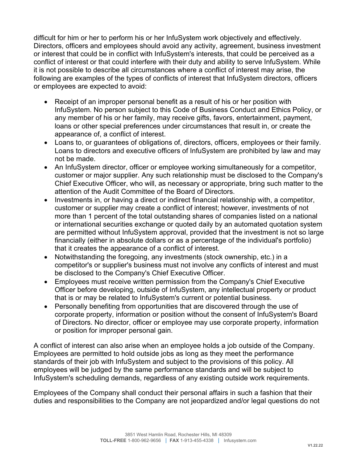difficult for him or her to perform his or her InfuSystem work objectively and effectively. Directors, officers and employees should avoid any activity, agreement, business investment or interest that could be in conflict with InfuSystem's interests, that could be perceived as a conflict of interest or that could interfere with their duty and ability to serve InfuSystem. While it is not possible to describe all circumstances where a conflict of interest may arise, the following are examples of the types of conflicts of interest that InfuSystem directors, officers or employees are expected to avoid:

- Receipt of an improper personal benefit as a result of his or her position with InfuSystem. No person subject to this Code of Business Conduct and Ethics Policy, or any member of his or her family, may receive gifts, favors, entertainment, payment, loans or other special preferences under circumstances that result in, or create the appearance of, a conflict of interest.
- Loans to, or guarantees of obligations of, directors, officers, employees or their family. Loans to directors and executive officers of InfuSystem are prohibited by law and may not be made.
- An InfuSystem director, officer or employee working simultaneously for a competitor, customer or major supplier. Any such relationship must be disclosed to the Company's Chief Executive Officer, who will, as necessary or appropriate, bring such matter to the attention of the Audit Committee of the Board of Directors.
- Investments in, or having a direct or indirect financial relationship with, a competitor, customer or supplier may create a conflict of interest; however, investments of not more than 1 percent of the total outstanding shares of companies listed on a national or international securities exchange or quoted daily by an automated quotation system are permitted without InfuSystem approval, provided that the investment is not so large financially (either in absolute dollars or as a percentage of the individual's portfolio) that it creates the appearance of a conflict of interest.
- Notwithstanding the foregoing, any investments (stock ownership, etc.) in a competitor's or supplier's business must not involve any conflicts of interest and must be disclosed to the Company's Chief Executive Officer.
- Employees must receive written permission from the Company's Chief Executive Officer before developing, outside of InfuSystem, any intellectual property or product that is or may be related to InfuSystem's current or potential business.
- Personally benefiting from opportunities that are discovered through the use of corporate property, information or position without the consent of InfuSystem's Board of Directors. No director, officer or employee may use corporate property, information or position for improper personal gain.

A conflict of interest can also arise when an employee holds a job outside of the Company. Employees are permitted to hold outside jobs as long as they meet the performance standards of their job with InfuSystem and subject to the provisions of this policy. All employees will be judged by the same performance standards and will be subject to InfuSystem's scheduling demands, regardless of any existing outside work requirements.

Employees of the Company shall conduct their personal affairs in such a fashion that their duties and responsibilities to the Company are not jeopardized and/or legal questions do not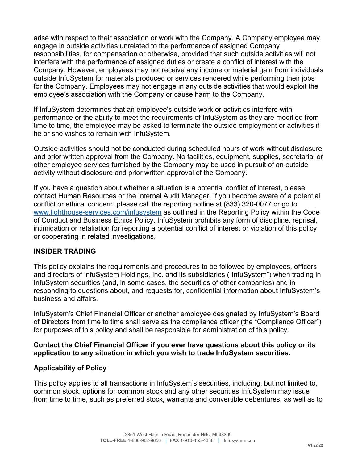arise with respect to their association or work with the Company. A Company employee may engage in outside activities unrelated to the performance of assigned Company responsibilities, for compensation or otherwise, provided that such outside activities will not interfere with the performance of assigned duties or create a conflict of interest with the Company. However, employees may not receive any income or material gain from individuals outside InfuSystem for materials produced or services rendered while performing their jobs for the Company. Employees may not engage in any outside activities that would exploit the employee's association with the Company or cause harm to the Company.

If InfuSystem determines that an employee's outside work or activities interfere with performance or the ability to meet the requirements of InfuSystem as they are modified from time to time, the employee may be asked to terminate the outside employment or activities if he or she wishes to remain with InfuSystem.

Outside activities should not be conducted during scheduled hours of work without disclosure and prior written approval from the Company. No facilities, equipment, supplies, secretarial or other employee services furnished by the Company may be used in pursuit of an outside activity without disclosure and prior written approval of the Company.

If you have a question about whether a situation is a potential conflict of interest, please contact Human Resources or the Internal Audit Manager. If you become aware of a potential conflict or ethical concern, please call the reporting hotline at (833) 320-0077 or go to www.lighthouse-services.com/infusystem as outlined in the Reporting Policy within the Code of Conduct and Business Ethics Policy. InfuSystem prohibits any form of discipline, reprisal, intimidation or retaliation for reporting a potential conflict of interest or violation of this policy or cooperating in related investigations.

#### **INSIDER TRADING**

This policy explains the requirements and procedures to be followed by employees, officers and directors of InfuSystem Holdings, Inc. and its subsidiaries ("InfuSystem") when trading in InfuSystem securities (and, in some cases, the securities of other companies) and in responding to questions about, and requests for, confidential information about InfuSystem's business and affairs.

InfuSystem's Chief Financial Officer or another employee designated by InfuSystem's Board of Directors from time to time shall serve as the compliance officer (the "Compliance Officer") for purposes of this policy and shall be responsible for administration of this policy.

#### **Contact the Chief Financial Officer if you ever have questions about this policy or its application to any situation in which you wish to trade InfuSystem securities.**

### **Applicability of Policy**

This policy applies to all transactions in InfuSystem's securities, including, but not limited to, common stock, options for common stock and any other securities InfuSystem may issue from time to time, such as preferred stock, warrants and convertible debentures, as well as to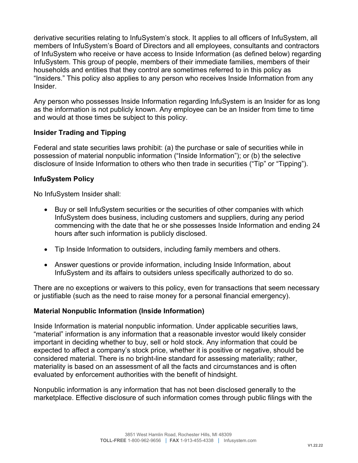derivative securities relating to InfuSystem's stock. It applies to all officers of InfuSystem, all members of InfuSystem's Board of Directors and all employees, consultants and contractors of InfuSystem who receive or have access to Inside Information (as defined below) regarding InfuSystem. This group of people, members of their immediate families, members of their households and entities that they control are sometimes referred to in this policy as "Insiders." This policy also applies to any person who receives Inside Information from any Insider.

Any person who possesses Inside Information regarding InfuSystem is an Insider for as long as the information is not publicly known. Any employee can be an Insider from time to time and would at those times be subject to this policy.

### **Insider Trading and Tipping**

Federal and state securities laws prohibit: (a) the purchase or sale of securities while in possession of material nonpublic information ("Inside Information"); or (b) the selective disclosure of Inside Information to others who then trade in securities ("Tip" or "Tipping").

### **InfuSystem Policy**

No InfuSystem Insider shall:

- Buy or sell InfuSystem securities or the securities of other companies with which InfuSystem does business, including customers and suppliers, during any period commencing with the date that he or she possesses Inside Information and ending 24 hours after such information is publicly disclosed.
- Tip Inside Information to outsiders, including family members and others.
- Answer questions or provide information, including Inside Information, about InfuSystem and its affairs to outsiders unless specifically authorized to do so.

There are no exceptions or waivers to this policy, even for transactions that seem necessary or justifiable (such as the need to raise money for a personal financial emergency).

### **Material Nonpublic Information (Inside Information)**

Inside Information is material nonpublic information. Under applicable securities laws, "material" information is any information that a reasonable investor would likely consider important in deciding whether to buy, sell or hold stock. Any information that could be expected to affect a company's stock price, whether it is positive or negative, should be considered material. There is no bright-line standard for assessing materiality; rather, materiality is based on an assessment of all the facts and circumstances and is often evaluated by enforcement authorities with the benefit of hindsight.

Nonpublic information is any information that has not been disclosed generally to the marketplace. Effective disclosure of such information comes through public filings with the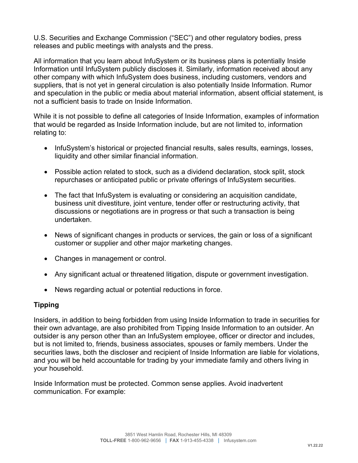U.S. Securities and Exchange Commission ("SEC") and other regulatory bodies, press releases and public meetings with analysts and the press.

All information that you learn about InfuSystem or its business plans is potentially Inside Information until InfuSystem publicly discloses it. Similarly, information received about any other company with which InfuSystem does business, including customers, vendors and suppliers, that is not yet in general circulation is also potentially Inside Information. Rumor and speculation in the public or media about material information, absent official statement, is not a sufficient basis to trade on Inside Information.

While it is not possible to define all categories of Inside Information, examples of information that would be regarded as Inside Information include, but are not limited to, information relating to:

- InfuSystem's historical or projected financial results, sales results, earnings, losses, liquidity and other similar financial information.
- Possible action related to stock, such as a dividend declaration, stock split, stock repurchases or anticipated public or private offerings of InfuSystem securities.
- The fact that InfuSystem is evaluating or considering an acquisition candidate, business unit divestiture, joint venture, tender offer or restructuring activity, that discussions or negotiations are in progress or that such a transaction is being undertaken.
- News of significant changes in products or services, the gain or loss of a significant customer or supplier and other major marketing changes.
- Changes in management or control.
- Any significant actual or threatened litigation, dispute or government investigation.
- News regarding actual or potential reductions in force.

### **Tipping**

Insiders, in addition to being forbidden from using Inside Information to trade in securities for their own advantage, are also prohibited from Tipping Inside Information to an outsider. An outsider is any person other than an InfuSystem employee, officer or director and includes, but is not limited to, friends, business associates, spouses or family members. Under the securities laws, both the discloser and recipient of Inside Information are liable for violations, and you will be held accountable for trading by your immediate family and others living in your household.

Inside Information must be protected. Common sense applies. Avoid inadvertent communication. For example: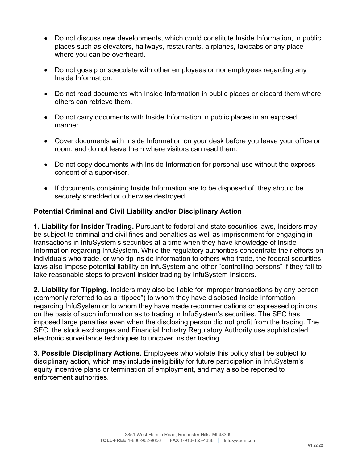- Do not discuss new developments, which could constitute Inside Information, in public places such as elevators, hallways, restaurants, airplanes, taxicabs or any place where you can be overheard.
- Do not gossip or speculate with other employees or nonemployees regarding any Inside Information.
- Do not read documents with Inside Information in public places or discard them where others can retrieve them.
- Do not carry documents with Inside Information in public places in an exposed manner.
- Cover documents with Inside Information on your desk before you leave your office or room, and do not leave them where visitors can read them.
- Do not copy documents with Inside Information for personal use without the express consent of a supervisor.
- If documents containing Inside Information are to be disposed of, they should be securely shredded or otherwise destroyed.

### **Potential Criminal and Civil Liability and/or Disciplinary Action**

**1. Liability for Insider Trading.** Pursuant to federal and state securities laws, Insiders may be subject to criminal and civil fines and penalties as well as imprisonment for engaging in transactions in InfuSystem's securities at a time when they have knowledge of Inside Information regarding InfuSystem. While the regulatory authorities concentrate their efforts on individuals who trade, or who tip inside information to others who trade, the federal securities laws also impose potential liability on InfuSystem and other "controlling persons" if they fail to take reasonable steps to prevent insider trading by InfuSystem Insiders.

**2. Liability for Tipping.** Insiders may also be liable for improper transactions by any person (commonly referred to as a "tippee") to whom they have disclosed Inside Information regarding InfuSystem or to whom they have made recommendations or expressed opinions on the basis of such information as to trading in InfuSystem's securities. The SEC has imposed large penalties even when the disclosing person did not profit from the trading. The SEC, the stock exchanges and Financial Industry Regulatory Authority use sophisticated electronic surveillance techniques to uncover insider trading.

**3. Possible Disciplinary Actions.** Employees who violate this policy shall be subject to disciplinary action, which may include ineligibility for future participation in InfuSystem's equity incentive plans or termination of employment, and may also be reported to enforcement authorities.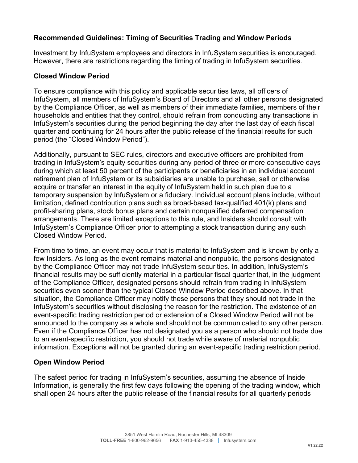### **Recommended Guidelines: Timing of Securities Trading and Window Periods**

Investment by InfuSystem employees and directors in InfuSystem securities is encouraged. However, there are restrictions regarding the timing of trading in InfuSystem securities.

#### **Closed Window Period**

To ensure compliance with this policy and applicable securities laws, all officers of InfuSystem, all members of InfuSystem's Board of Directors and all other persons designated by the Compliance Officer, as well as members of their immediate families, members of their households and entities that they control, should refrain from conducting any transactions in InfuSystem's securities during the period beginning the day after the last day of each fiscal quarter and continuing for 24 hours after the public release of the financial results for such period (the "Closed Window Period").

Additionally, pursuant to SEC rules, directors and executive officers are prohibited from trading in InfuSystem's equity securities during any period of three or more consecutive days during which at least 50 percent of the participants or beneficiaries in an individual account retirement plan of InfuSystem or its subsidiaries are unable to purchase, sell or otherwise acquire or transfer an interest in the equity of InfuSystem held in such plan due to a temporary suspension by InfuSystem or a fiduciary. Individual account plans include, without limitation, defined contribution plans such as broad-based tax-qualified 401(k) plans and profit-sharing plans, stock bonus plans and certain nonqualified deferred compensation arrangements. There are limited exceptions to this rule, and Insiders should consult with InfuSystem's Compliance Officer prior to attempting a stock transaction during any such Closed Window Period.

From time to time, an event may occur that is material to InfuSystem and is known by only a few Insiders. As long as the event remains material and nonpublic, the persons designated by the Compliance Officer may not trade InfuSystem securities. In addition, InfuSystem's financial results may be sufficiently material in a particular fiscal quarter that, in the judgment of the Compliance Officer, designated persons should refrain from trading in InfuSystem securities even sooner than the typical Closed Window Period described above. In that situation, the Compliance Officer may notify these persons that they should not trade in the InfuSystem's securities without disclosing the reason for the restriction. The existence of an event-specific trading restriction period or extension of a Closed Window Period will not be announced to the company as a whole and should not be communicated to any other person. Even if the Compliance Officer has not designated you as a person who should not trade due to an event-specific restriction, you should not trade while aware of material nonpublic information. Exceptions will not be granted during an event-specific trading restriction period.

#### **Open Window Period**

The safest period for trading in InfuSystem's securities, assuming the absence of Inside Information, is generally the first few days following the opening of the trading window, which shall open 24 hours after the public release of the financial results for all quarterly periods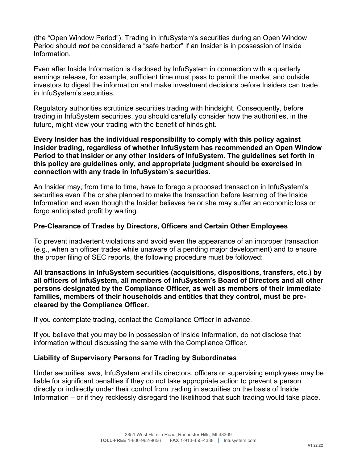(the "Open Window Period"). Trading in InfuSystem's securities during an Open Window Period should *not* be considered a "safe harbor" if an Insider is in possession of Inside Information.

Even after Inside Information is disclosed by InfuSystem in connection with a quarterly earnings release, for example, sufficient time must pass to permit the market and outside investors to digest the information and make investment decisions before Insiders can trade in InfuSystem's securities.

Regulatory authorities scrutinize securities trading with hindsight. Consequently, before trading in InfuSystem securities, you should carefully consider how the authorities, in the future, might view your trading with the benefit of hindsight.

**Every Insider has the individual responsibility to comply with this policy against insider trading, regardless of whether InfuSystem has recommended an Open Window Period to that Insider or any other Insiders of InfuSystem. The guidelines set forth in this policy are guidelines only, and appropriate judgment should be exercised in connection with any trade in InfuSystem's securities.** 

An Insider may, from time to time, have to forego a proposed transaction in InfuSystem's securities even if he or she planned to make the transaction before learning of the Inside Information and even though the Insider believes he or she may suffer an economic loss or forgo anticipated profit by waiting.

### **Pre-Clearance of Trades by Directors, Officers and Certain Other Employees**

To prevent inadvertent violations and avoid even the appearance of an improper transaction (e.g., when an officer trades while unaware of a pending major development) and to ensure the proper filing of SEC reports, the following procedure must be followed:

**All transactions in InfuSystem securities (acquisitions, dispositions, transfers, etc.) by all officers of InfuSystem, all members of InfuSystem's Board of Directors and all other persons designated by the Compliance Officer, as well as members of their immediate families, members of their households and entities that they control, must be precleared by the Compliance Officer.**

If you contemplate trading, contact the Compliance Officer in advance.

If you believe that you may be in possession of Inside Information, do not disclose that information without discussing the same with the Compliance Officer.

### **Liability of Supervisory Persons for Trading by Subordinates**

Under securities laws, InfuSystem and its directors, officers or supervising employees may be liable for significant penalties if they do not take appropriate action to prevent a person directly or indirectly under their control from trading in securities on the basis of Inside Information – or if they recklessly disregard the likelihood that such trading would take place.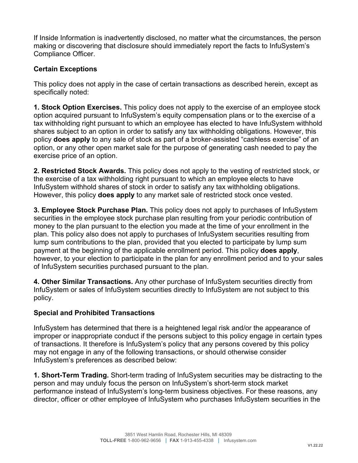If Inside Information is inadvertently disclosed, no matter what the circumstances, the person making or discovering that disclosure should immediately report the facts to InfuSystem's Compliance Officer.

### **Certain Exceptions**

This policy does not apply in the case of certain transactions as described herein, except as specifically noted:

**1. Stock Option Exercises.** This policy does not apply to the exercise of an employee stock option acquired pursuant to InfuSystem's equity compensation plans or to the exercise of a tax withholding right pursuant to which an employee has elected to have InfuSystem withhold shares subject to an option in order to satisfy any tax withholding obligations. However, this policy **does apply** to any sale of stock as part of a broker-assisted "cashless exercise" of an option, or any other open market sale for the purpose of generating cash needed to pay the exercise price of an option.

**2. Restricted Stock Awards.** This policy does not apply to the vesting of restricted stock, or the exercise of a tax withholding right pursuant to which an employee elects to have InfuSystem withhold shares of stock in order to satisfy any tax withholding obligations. However, this policy **does apply** to any market sale of restricted stock once vested.

**3. Employee Stock Purchase Plan.** This policy does not apply to purchases of InfuSystem securities in the employee stock purchase plan resulting from your periodic contribution of money to the plan pursuant to the election you made at the time of your enrollment in the plan. This policy also does not apply to purchases of InfuSystem securities resulting from lump sum contributions to the plan, provided that you elected to participate by lump sum payment at the beginning of the applicable enrollment period. This policy **does apply**, however, to your election to participate in the plan for any enrollment period and to your sales of InfuSystem securities purchased pursuant to the plan.

**4. Other Similar Transactions.** Any other purchase of InfuSystem securities directly from InfuSystem or sales of InfuSystem securities directly to InfuSystem are not subject to this policy.

### **Special and Prohibited Transactions**

InfuSystem has determined that there is a heightened legal risk and/or the appearance of improper or inappropriate conduct if the persons subject to this policy engage in certain types of transactions. It therefore is InfuSystem's policy that any persons covered by this policy may not engage in any of the following transactions, or should otherwise consider InfuSystem's preferences as described below:

**1. Short-Term Trading.** Short-term trading of InfuSystem securities may be distracting to the person and may unduly focus the person on InfuSystem's short-term stock market performance instead of InfuSystem's long-term business objectives. For these reasons, any director, officer or other employee of InfuSystem who purchases InfuSystem securities in the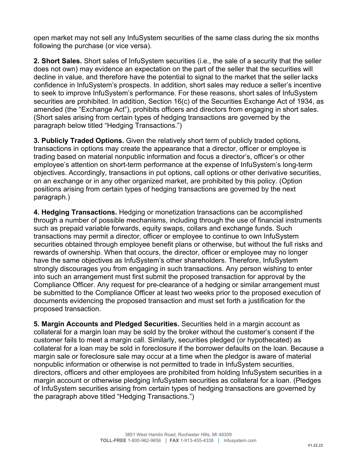open market may not sell any InfuSystem securities of the same class during the six months following the purchase (or vice versa).

**2. Short Sales.** Short sales of InfuSystem securities (i.e., the sale of a security that the seller does not own) may evidence an expectation on the part of the seller that the securities will decline in value, and therefore have the potential to signal to the market that the seller lacks confidence in InfuSystem's prospects. In addition, short sales may reduce a seller's incentive to seek to improve InfuSystem's performance. For these reasons, short sales of InfuSystem securities are prohibited. In addition, Section 16(c) of the Securities Exchange Act of 1934, as amended (the "Exchange Act"), prohibits officers and directors from engaging in short sales. (Short sales arising from certain types of hedging transactions are governed by the paragraph below titled "Hedging Transactions.")

**3. Publicly Traded Options.** Given the relatively short term of publicly traded options, transactions in options may create the appearance that a director, officer or employee is trading based on material nonpublic information and focus a director's, officer's or other employee's attention on short-term performance at the expense of InfuSystem's long-term objectives. Accordingly, transactions in put options, call options or other derivative securities, on an exchange or in any other organized market, are prohibited by this policy. (Option positions arising from certain types of hedging transactions are governed by the next paragraph.)

**4. Hedging Transactions.** Hedging or monetization transactions can be accomplished through a number of possible mechanisms, including through the use of financial instruments such as prepaid variable forwards, equity swaps, collars and exchange funds. Such transactions may permit a director, officer or employee to continue to own InfuSystem securities obtained through employee benefit plans or otherwise, but without the full risks and rewards of ownership. When that occurs, the director, officer or employee may no longer have the same objectives as InfuSystem's other shareholders. Therefore, InfuSystem strongly discourages you from engaging in such transactions. Any person wishing to enter into such an arrangement must first submit the proposed transaction for approval by the Compliance Officer. Any request for pre-clearance of a hedging or similar arrangement must be submitted to the Compliance Officer at least two weeks prior to the proposed execution of documents evidencing the proposed transaction and must set forth a justification for the proposed transaction.

**5. Margin Accounts and Pledged Securities.** Securities held in a margin account as collateral for a margin loan may be sold by the broker without the customer's consent if the customer fails to meet a margin call. Similarly, securities pledged (or hypothecated) as collateral for a loan may be sold in foreclosure if the borrower defaults on the loan. Because a margin sale or foreclosure sale may occur at a time when the pledgor is aware of material nonpublic information or otherwise is not permitted to trade in InfuSystem securities, directors, officers and other employees are prohibited from holding InfuSystem securities in a margin account or otherwise pledging InfuSystem securities as collateral for a loan. (Pledges of InfuSystem securities arising from certain types of hedging transactions are governed by the paragraph above titled "Hedging Transactions.")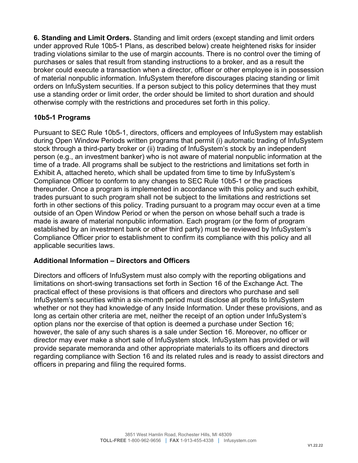**6. Standing and Limit Orders.** Standing and limit orders (except standing and limit orders under approved Rule 10b5-1 Plans, as described below) create heightened risks for insider trading violations similar to the use of margin accounts. There is no control over the timing of purchases or sales that result from standing instructions to a broker, and as a result the broker could execute a transaction when a director, officer or other employee is in possession of material nonpublic information. InfuSystem therefore discourages placing standing or limit orders on InfuSystem securities. If a person subject to this policy determines that they must use a standing order or limit order, the order should be limited to short duration and should otherwise comply with the restrictions and procedures set forth in this policy.

### **10b5-1 Programs**

Pursuant to SEC Rule 10b5-1, directors, officers and employees of InfuSystem may establish during Open Window Periods written programs that permit (i) automatic trading of InfuSystem stock through a third-party broker or (ii) trading of InfuSystem's stock by an independent person (e.g., an investment banker) who is not aware of material nonpublic information at the time of a trade. All programs shall be subject to the restrictions and limitations set forth in Exhibit A, attached hereto, which shall be updated from time to time by InfuSystem's Compliance Officer to conform to any changes to SEC Rule 10b5-1 or the practices thereunder. Once a program is implemented in accordance with this policy and such exhibit, trades pursuant to such program shall not be subject to the limitations and restrictions set forth in other sections of this policy. Trading pursuant to a program may occur even at a time outside of an Open Window Period or when the person on whose behalf such a trade is made is aware of material nonpublic information. Each program (or the form of program established by an investment bank or other third party) must be reviewed by InfuSystem's Compliance Officer prior to establishment to confirm its compliance with this policy and all applicable securities laws.

### **Additional Information – Directors and Officers**

Directors and officers of InfuSystem must also comply with the reporting obligations and limitations on short-swing transactions set forth in Section 16 of the Exchange Act. The practical effect of these provisions is that officers and directors who purchase and sell InfuSystem's securities within a six-month period must disclose all profits to InfuSystem whether or not they had knowledge of any Inside Information. Under these provisions, and as long as certain other criteria are met, neither the receipt of an option under InfuSystem's option plans nor the exercise of that option is deemed a purchase under Section 16; however, the sale of any such shares is a sale under Section 16. Moreover, no officer or director may ever make a short sale of InfuSystem stock. InfuSystem has provided or will provide separate memoranda and other appropriate materials to its officers and directors regarding compliance with Section 16 and its related rules and is ready to assist directors and officers in preparing and filing the required forms.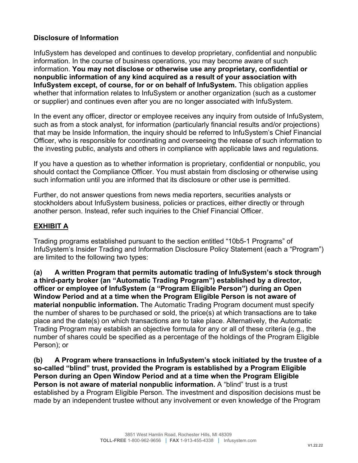### **Disclosure of Information**

InfuSystem has developed and continues to develop proprietary, confidential and nonpublic information. In the course of business operations, you may become aware of such information. **You may not disclose or otherwise use any proprietary, confidential or nonpublic information of any kind acquired as a result of your association with InfuSystem except, of course, for or on behalf of InfuSystem.** This obligation applies whether that information relates to InfuSystem or another organization (such as a customer or supplier) and continues even after you are no longer associated with InfuSystem.

In the event any officer, director or employee receives any inquiry from outside of InfuSystem, such as from a stock analyst, for information (particularly financial results and/or projections) that may be Inside Information, the inquiry should be referred to InfuSystem's Chief Financial Officer, who is responsible for coordinating and overseeing the release of such information to the investing public, analysts and others in compliance with applicable laws and regulations.

If you have a question as to whether information is proprietary, confidential or nonpublic, you should contact the Compliance Officer. You must abstain from disclosing or otherwise using such information until you are informed that its disclosure or other use is permitted.

Further, do not answer questions from news media reporters, securities analysts or stockholders about InfuSystem business, policies or practices, either directly or through another person. Instead, refer such inquiries to the Chief Financial Officer.

### **EXHIBIT A**

Trading programs established pursuant to the section entitled "10b5-1 Programs" of InfuSystem's Insider Trading and Information Disclosure Policy Statement (each a "Program") are limited to the following two types:

**(a) A written Program that permits automatic trading of InfuSystem's stock through a third-party broker (an "Automatic Trading Program") established by a director, officer or employee of InfuSystem (a "Program Eligible Person") during an Open Window Period and at a time when the Program Eligible Person is not aware of material nonpublic information.** The Automatic Trading Program document must specify the number of shares to be purchased or sold, the price(s) at which transactions are to take place and the date(s) on which transactions are to take place. Alternatively, the Automatic Trading Program may establish an objective formula for any or all of these criteria (e.g., the number of shares could be specified as a percentage of the holdings of the Program Eligible Person); or

**(b) A Program where transactions in InfuSystem's stock initiated by the trustee of a so-called "blind" trust, provided the Program is established by a Program Eligible Person during an Open Window Period and at a time when the Program Eligible Person is not aware of material nonpublic information.** A "blind" trust is a trust established by a Program Eligible Person. The investment and disposition decisions must be made by an independent trustee without any involvement or even knowledge of the Program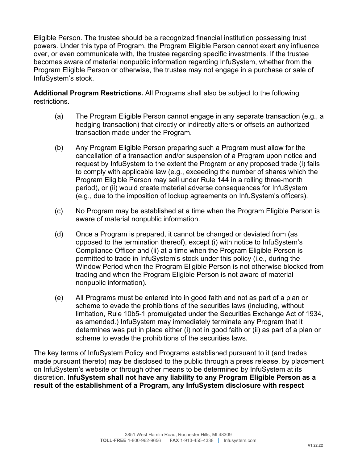Eligible Person. The trustee should be a recognized financial institution possessing trust powers. Under this type of Program, the Program Eligible Person cannot exert any influence over, or even communicate with, the trustee regarding specific investments. If the trustee becomes aware of material nonpublic information regarding InfuSystem, whether from the Program Eligible Person or otherwise, the trustee may not engage in a purchase or sale of InfuSystem's stock.

**Additional Program Restrictions.** All Programs shall also be subject to the following restrictions.

- (a) The Program Eligible Person cannot engage in any separate transaction (e.g., a hedging transaction) that directly or indirectly alters or offsets an authorized transaction made under the Program.
- (b) Any Program Eligible Person preparing such a Program must allow for the cancellation of a transaction and/or suspension of a Program upon notice and request by InfuSystem to the extent the Program or any proposed trade (i) fails to comply with applicable law (e.g., exceeding the number of shares which the Program Eligible Person may sell under Rule 144 in a rolling three-month period), or (ii) would create material adverse consequences for InfuSystem (e.g., due to the imposition of lockup agreements on InfuSystem's officers).
- (c) No Program may be established at a time when the Program Eligible Person is aware of material nonpublic information.
- (d) Once a Program is prepared, it cannot be changed or deviated from (as opposed to the termination thereof), except (i) with notice to InfuSystem's Compliance Officer and (ii) at a time when the Program Eligible Person is permitted to trade in InfuSystem's stock under this policy (i.e., during the Window Period when the Program Eligible Person is not otherwise blocked from trading and when the Program Eligible Person is not aware of material nonpublic information).
- (e) All Programs must be entered into in good faith and not as part of a plan or scheme to evade the prohibitions of the securities laws (including, without limitation, Rule 10b5-1 promulgated under the Securities Exchange Act of 1934, as amended.) InfuSystem may immediately terminate any Program that it determines was put in place either (i) not in good faith or (ii) as part of a plan or scheme to evade the prohibitions of the securities laws.

The key terms of InfuSystem Policy and Programs established pursuant to it (and trades made pursuant thereto) may be disclosed to the public through a press release, by placement on InfuSystem's website or through other means to be determined by InfuSystem at its discretion. **InfuSystem shall not have any liability to any Program Eligible Person as a result of the establishment of a Program, any InfuSystem disclosure with respect**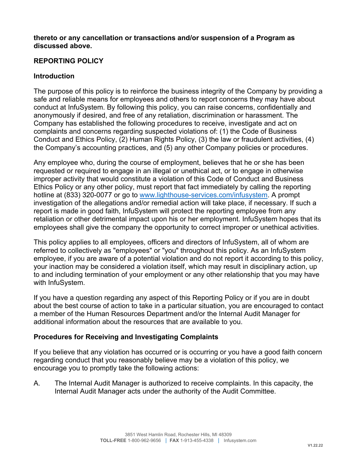#### **thereto or any cancellation or transactions and/or suspension of a Program as discussed above.**

## **REPORTING POLICY**

#### **Introduction**

The purpose of this policy is to reinforce the business integrity of the Company by providing a safe and reliable means for employees and others to report concerns they may have about conduct at InfuSystem. By following this policy, you can raise concerns, confidentially and anonymously if desired, and free of any retaliation, discrimination or harassment. The Company has established the following procedures to receive, investigate and act on complaints and concerns regarding suspected violations of: (1) the Code of Business Conduct and Ethics Policy, (2) Human Rights Policy, (3) the law or fraudulent activities, (4) the Company's accounting practices, and (5) any other Company policies or procedures.

Any employee who, during the course of employment, believes that he or she has been requested or required to engage in an illegal or unethical act, or to engage in otherwise improper activity that would constitute a violation of this Code of Conduct and Business Ethics Policy or any other policy, must report that fact immediately by calling the reporting hotline at (833) 320-0077 or go to www.lighthouse-services.com/infusystem. A prompt investigation of the allegations and/or remedial action will take place, if necessary. If such a report is made in good faith, InfuSystem will protect the reporting employee from any retaliation or other detrimental impact upon his or her employment. InfuSystem hopes that its employees shall give the company the opportunity to correct improper or unethical activities.

This policy applies to all employees, officers and directors of InfuSystem, all of whom are referred to collectively as "employees" or "you" throughout this policy. As an InfuSystem employee, if you are aware of a potential violation and do not report it according to this policy, your inaction may be considered a violation itself, which may result in disciplinary action, up to and including termination of your employment or any other relationship that you may have with InfuSystem.

If you have a question regarding any aspect of this Reporting Policy or if you are in doubt about the best course of action to take in a particular situation, you are encouraged to contact a member of the Human Resources Department and/or the Internal Audit Manager for additional information about the resources that are available to you.

### **Procedures for Receiving and Investigating Complaints**

If you believe that any violation has occurred or is occurring or you have a good faith concern regarding conduct that you reasonably believe may be a violation of this policy, we encourage you to promptly take the following actions:

A. The Internal Audit Manager is authorized to receive complaints. In this capacity, the Internal Audit Manager acts under the authority of the Audit Committee.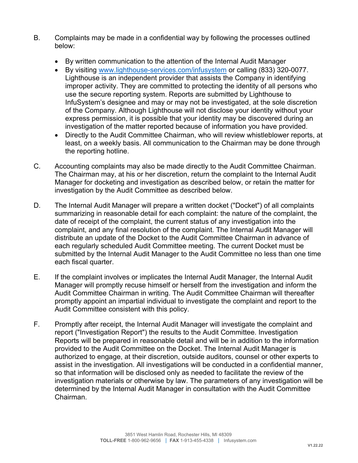- B. Complaints may be made in a confidential way by following the processes outlined below:
	- By written communication to the attention of the Internal Audit Manager
	- By visiting www.lighthouse-services.com/infusystem or calling (833) 320-0077. Lighthouse is an independent provider that assists the Company in identifying improper activity. They are committed to protecting the identity of all persons who use the secure reporting system. Reports are submitted by Lighthouse to InfuSystem's designee and may or may not be investigated, at the sole discretion of the Company. Although Lighthouse will not disclose your identity without your express permission, it is possible that your identity may be discovered during an investigation of the matter reported because of information you have provided.
	- Directly to the Audit Committee Chairman, who will review whistleblower reports, at least, on a weekly basis. All communication to the Chairman may be done through the reporting hotline.
- C. Accounting complaints may also be made directly to the Audit Committee Chairman. The Chairman may, at his or her discretion, return the complaint to the Internal Audit Manager for docketing and investigation as described below, or retain the matter for investigation by the Audit Committee as described below.
- D. The Internal Audit Manager will prepare a written docket ("Docket") of all complaints summarizing in reasonable detail for each complaint: the nature of the complaint, the date of receipt of the complaint, the current status of any investigation into the complaint, and any final resolution of the complaint. The Internal Audit Manager will distribute an update of the Docket to the Audit Committee Chairman in advance of each regularly scheduled Audit Committee meeting. The current Docket must be submitted by the Internal Audit Manager to the Audit Committee no less than one time each fiscal quarter.
- E. If the complaint involves or implicates the Internal Audit Manager, the Internal Audit Manager will promptly recuse himself or herself from the investigation and inform the Audit Committee Chairman in writing. The Audit Committee Chairman will thereafter promptly appoint an impartial individual to investigate the complaint and report to the Audit Committee consistent with this policy.
- F. Promptly after receipt, the Internal Audit Manager will investigate the complaint and report ("Investigation Report") the results to the Audit Committee. Investigation Reports will be prepared in reasonable detail and will be in addition to the information provided to the Audit Committee on the Docket. The Internal Audit Manager is authorized to engage, at their discretion, outside auditors, counsel or other experts to assist in the investigation. All investigations will be conducted in a confidential manner, so that information will be disclosed only as needed to facilitate the review of the investigation materials or otherwise by law. The parameters of any investigation will be determined by the Internal Audit Manager in consultation with the Audit Committee Chairman.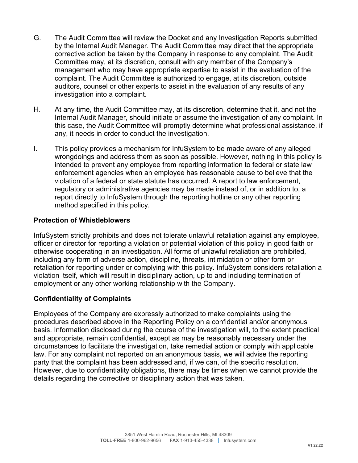- G. The Audit Committee will review the Docket and any Investigation Reports submitted by the Internal Audit Manager. The Audit Committee may direct that the appropriate corrective action be taken by the Company in response to any complaint. The Audit Committee may, at its discretion, consult with any member of the Company's management who may have appropriate expertise to assist in the evaluation of the complaint. The Audit Committee is authorized to engage, at its discretion, outside auditors, counsel or other experts to assist in the evaluation of any results of any investigation into a complaint.
- H. At any time, the Audit Committee may, at its discretion, determine that it, and not the Internal Audit Manager, should initiate or assume the investigation of any complaint. In this case, the Audit Committee will promptly determine what professional assistance, if any, it needs in order to conduct the investigation.
- I. This policy provides a mechanism for InfuSystem to be made aware of any alleged wrongdoings and address them as soon as possible. However, nothing in this policy is intended to prevent any employee from reporting information to federal or state law enforcement agencies when an employee has reasonable cause to believe that the violation of a federal or state statute has occurred. A report to law enforcement, regulatory or administrative agencies may be made instead of, or in addition to, a report directly to InfuSystem through the reporting hotline or any other reporting method specified in this policy.

#### **Protection of Whistleblowers**

InfuSystem strictly prohibits and does not tolerate unlawful retaliation against any employee, officer or director for reporting a violation or potential violation of this policy in good faith or otherwise cooperating in an investigation. All forms of unlawful retaliation are prohibited, including any form of adverse action, discipline, threats, intimidation or other form or retaliation for reporting under or complying with this policy. InfuSystem considers retaliation a violation itself, which will result in disciplinary action, up to and including termination of employment or any other working relationship with the Company.

### **Confidentiality of Complaints**

Employees of the Company are expressly authorized to make complaints using the procedures described above in the Reporting Policy on a confidential and/or anonymous basis. Information disclosed during the course of the investigation will, to the extent practical and appropriate, remain confidential, except as may be reasonably necessary under the circumstances to facilitate the investigation, take remedial action or comply with applicable law. For any complaint not reported on an anonymous basis, we will advise the reporting party that the complaint has been addressed and, if we can, of the specific resolution. However, due to confidentiality obligations, there may be times when we cannot provide the details regarding the corrective or disciplinary action that was taken.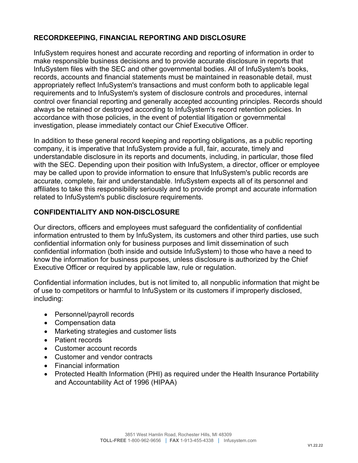### **RECORDKEEPING, FINANCIAL REPORTING AND DISCLOSURE**

InfuSystem requires honest and accurate recording and reporting of information in order to make responsible business decisions and to provide accurate disclosure in reports that InfuSystem files with the SEC and other governmental bodies. All of InfuSystem's books, records, accounts and financial statements must be maintained in reasonable detail, must appropriately reflect InfuSystem's transactions and must conform both to applicable legal requirements and to InfuSystem's system of disclosure controls and procedures, internal control over financial reporting and generally accepted accounting principles. Records should always be retained or destroyed according to InfuSystem's record retention policies. In accordance with those policies, in the event of potential litigation or governmental investigation, please immediately contact our Chief Executive Officer.

In addition to these general record keeping and reporting obligations, as a public reporting company, it is imperative that InfuSystem provide a full, fair, accurate, timely and understandable disclosure in its reports and documents, including, in particular, those filed with the SEC. Depending upon their position with InfuSystem, a director, officer or employee may be called upon to provide information to ensure that InfuSystem's public records are accurate, complete, fair and understandable. InfuSystem expects all of its personnel and affiliates to take this responsibility seriously and to provide prompt and accurate information related to InfuSystem's public disclosure requirements.

### **CONFIDENTIALITY AND NON-DISCLOSURE**

Our directors, officers and employees must safeguard the confidentiality of confidential information entrusted to them by InfuSystem, its customers and other third parties, use such confidential information only for business purposes and limit dissemination of such confidential information (both inside and outside InfuSystem) to those who have a need to know the information for business purposes, unless disclosure is authorized by the Chief Executive Officer or required by applicable law, rule or regulation.

Confidential information includes, but is not limited to, all nonpublic information that might be of use to competitors or harmful to InfuSystem or its customers if improperly disclosed, including:

- Personnel/payroll records
- Compensation data
- Marketing strategies and customer lists
- Patient records
- Customer account records
- Customer and vendor contracts
- Financial information
- Protected Health Information (PHI) as required under the Health Insurance Portability and Accountability Act of 1996 (HIPAA)